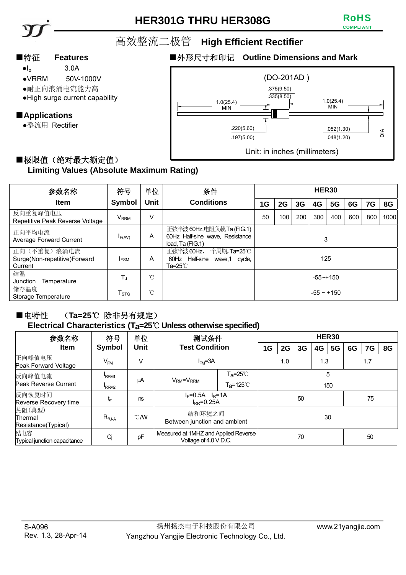# **HER301G THRU HER308G**



高效整流二极管 **High Efficient Rectifie**r

- $\bullet I_{o}$  3.0A
- ●VRRM 50V-1000V
- ●耐正向浪涌电流能力高
- ●High surge current capability

# ■**Applications**

●整流用 Rectifier

# ■特征 Features **■外形尺寸和印记 Outline Dimensions and Mark**



## ■极限值(绝对最大额定值) **Limiting Values (Absolute Maximum Rating)**

| 参数名称                                                   | 符号                        | 单位          | 条件                                                                               | HER30           |     |     |     |     |     |     |      |
|--------------------------------------------------------|---------------------------|-------------|----------------------------------------------------------------------------------|-----------------|-----|-----|-----|-----|-----|-----|------|
| <b>Item</b>                                            | Symbol                    | <b>Unit</b> | <b>Conditions</b>                                                                | 1G              | 2G  | 3G  | 4G  | 5G  | 6G  | 7G  | 8G   |
| 反向重复峰值电压<br>Repetitive Peak Reverse Voltage            | $V_{\rm{RRM}}$            | V           |                                                                                  | 50              | 100 | 200 | 300 | 400 | 600 | 800 | 1000 |
| 正向平均电流<br>Average Forward Current                      | $I_{F(AV)}$               | A           | 正弦半波 60Hz,电阻负载,Ta (FIG.1)<br>60Hz Half-sine wave, Resistance<br>load, Ta (FIG.1) | 3               |     |     |     |     |     |     |      |
| 正向(不重复)浪涌电流<br>Surge(Non-repetitive)Forward<br>Current | <b>IFSM</b>               | A           | 正弦半波 60Hz,一个周期, Ta=25℃<br>60Hz Half-sine<br>wave,1 cycle,<br>Ta=25℃              | 125             |     |     |     |     |     |     |      |
| 结温<br>Junction<br>Temperature                          | ТJ                        | °C          |                                                                                  | $-55 - +150$    |     |     |     |     |     |     |      |
| 储存温度<br>Storage Temperature                            | $\mathsf{T}_{\text{STG}}$ | °C          |                                                                                  | $-55 \sim +150$ |     |     |     |     |     |     |      |

### ■电特性 (Ta=25℃ 除非另有规定) **Electrical Characteristics (Ta=25**℃ **Unless otherwise specified)**

| 参数名称                                     | 符号               | 单位             | 测试条件                                                          | HER30                    |     |            |    |    |     |    |    |    |  |
|------------------------------------------|------------------|----------------|---------------------------------------------------------------|--------------------------|-----|------------|----|----|-----|----|----|----|--|
| <b>Item</b>                              | <b>Symbol</b>    | Unit           | <b>Test Condition</b>                                         |                          | 1G  | 2G         | 3G | 4G | 5G  | 6G | 7G | 8G |  |
| 正向峰值电压<br>Peak Forward Voltage           | $V_{FM}$         | V              | $I_{FM} = 3A$                                                 |                          |     | 1.3<br>1.0 |    |    | 1.7 |    |    |    |  |
| 反向峰值电流<br>Peak Reverse Current           | RRM1             |                | $VRM=VRRM$                                                    | $Ta = 25^\circ \text{C}$ | 5   |            |    |    |     |    |    |    |  |
|                                          | RRM <sub>2</sub> | μA             |                                                               | T <sub>a</sub> =125℃     | 150 |            |    |    |     |    |    |    |  |
| 反向恢复时间<br>Reverse Recovery time          | tr               | ns             | $F=0.5A$ $R=1A$<br>$I_{RR} = 0.25A$                           |                          |     | 50         |    |    |     |    | 75 |    |  |
| 热阻(典型)<br>Thermal<br>Resistance(Typical) | $R_{\theta J-A}$ | $^{\circ}$ C/W | 结和环境之间<br>Between junction and ambient                        |                          |     | 30         |    |    |     |    |    |    |  |
| 结电容<br>Typical junction capacitance      | Cj               | pF             | Measured at 1MHZ and Applied Reverse<br>Voltage of 4.0 V.D.C. |                          |     | 70         |    |    |     |    | 50 |    |  |